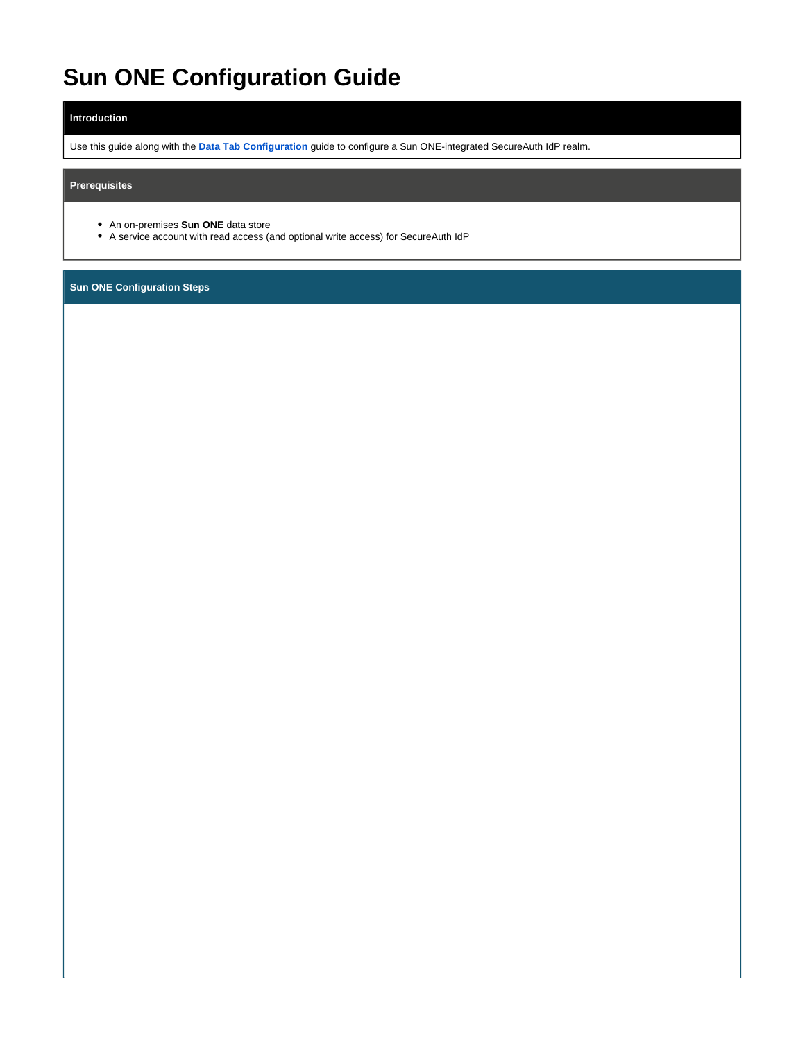# **Sun ONE Configuration Guide**

## **Introduction**

Use this guide along with the **[Data Tab Configuration](https://docs.classic.secureauth.com/display/91docs/Data+Tab+Configuration)** guide to configure a Sun ONE-integrated SecureAuth IdP realm.

## **Prerequisites**

- An on-premises **Sun ONE** data store
- A service account with read access (and optional write access) for SecureAuth IdP

**Sun ONE Configuration Steps**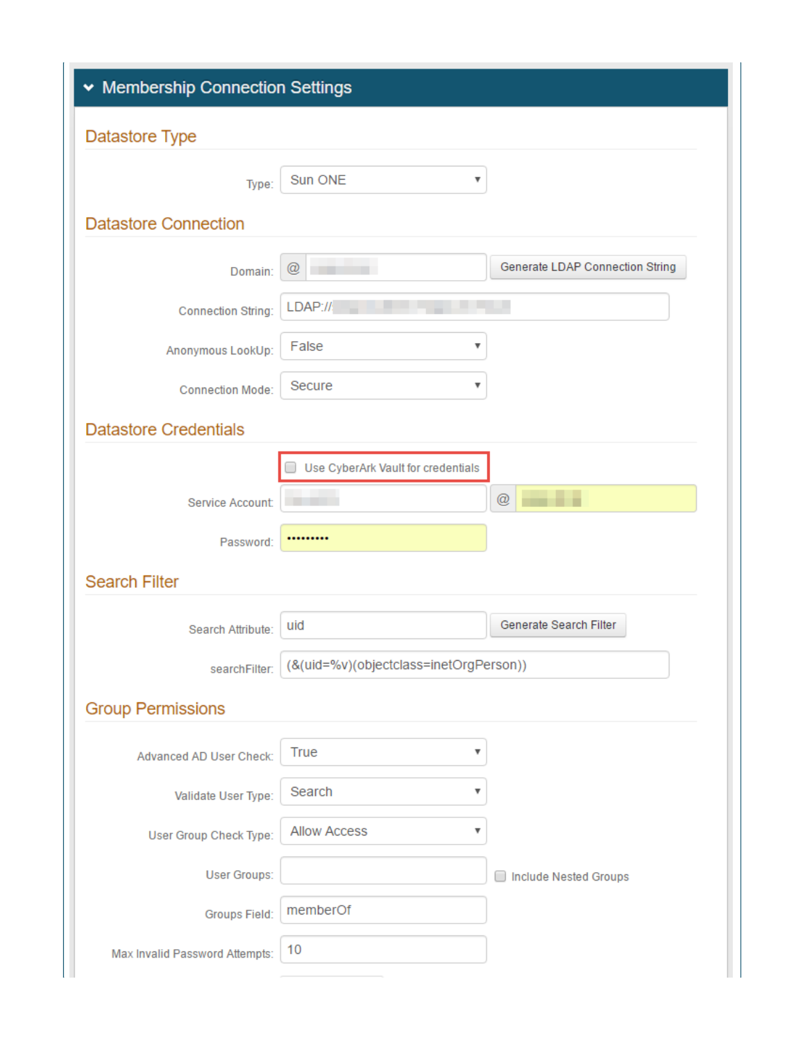| ▼ Membership Connection Settings |                                        |                                   |  |
|----------------------------------|----------------------------------------|-----------------------------------|--|
| Datastore Type                   |                                        |                                   |  |
| Type:                            | Sun ONE<br>۳                           |                                   |  |
| <b>Datastore Connection</b>      |                                        |                                   |  |
| Domain:                          | $^{\textregistered}$                   | Generate LDAP Connection String   |  |
| <b>Connection String:</b>        | LDAP://                                |                                   |  |
| Anonymous LookUp:                | False<br>v                             |                                   |  |
| <b>Connection Mode:</b>          | Secure<br>v                            |                                   |  |
| <b>Datastore Credentials</b>     |                                        |                                   |  |
|                                  | Use CyberArk Vault for credentials     |                                   |  |
| Service Account:                 |                                        | @                                 |  |
| Password:                        |                                        |                                   |  |
| <b>Search Filter</b>             |                                        |                                   |  |
| Search Attribute:                | uid                                    | Generate Search Filter            |  |
| searchFilter:                    | (&(uid=%v)(objectclass=inetOrgPerson)) |                                   |  |
| <b>Group Permissions</b>         |                                        |                                   |  |
| Advanced AD User Check:          | True<br>▼                              |                                   |  |
| Validate User Type:              | Search<br>۷                            |                                   |  |
| User Group Check Type:           | <b>Allow Access</b><br>v               |                                   |  |
| User Groups:                     |                                        | <b>Include Nested Groups</b><br>o |  |
| <b>Groups Field:</b>             | memberOf                               |                                   |  |
| Max Invalid Password Attempts:   | 10                                     |                                   |  |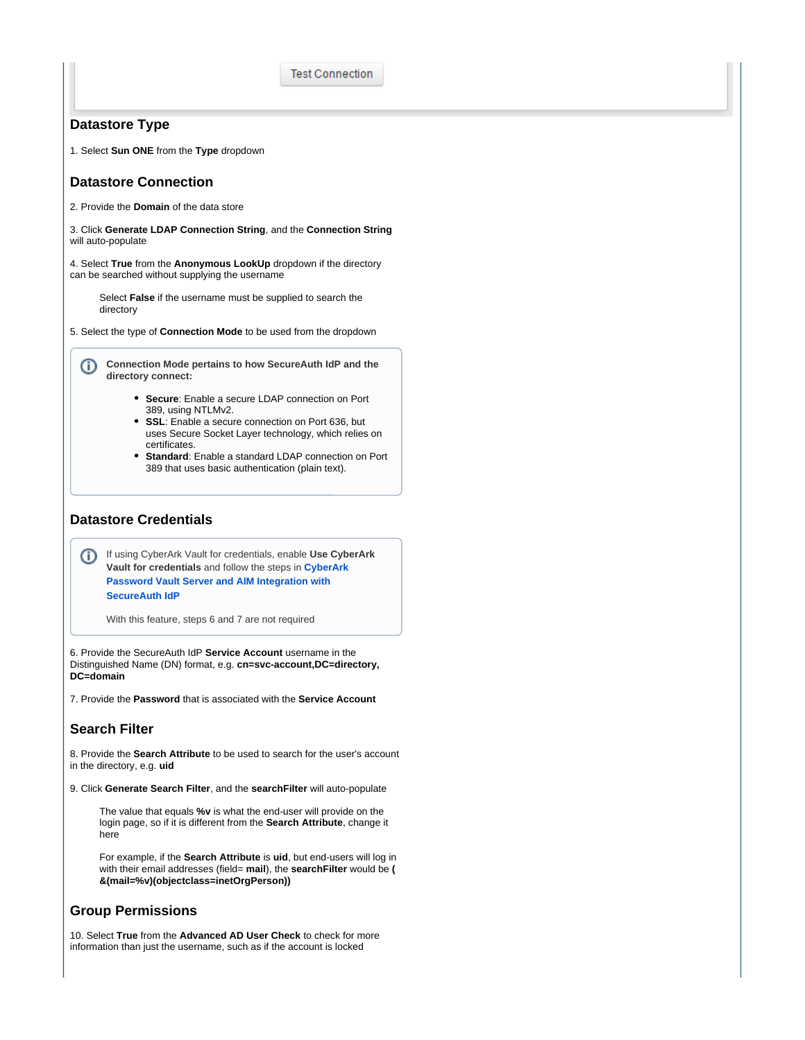**Test Connection** 

#### **Datastore Type**

1. Select **Sun ONE** from the **Type** dropdown

# **Datastore Connection**

2. Provide the **Domain** of the data store

3. Click **Generate LDAP Connection String**, and the **Connection String** will auto-populate

4. Select **True** from the **Anonymous LookUp** dropdown if the directory can be searched without supplying the username

Select **False** if the username must be supplied to search the directory

5. Select the type of **Connection Mode** to be used from the dropdown

**Connection Mode pertains to how SecureAuth IdP and the**  (i) **directory connect:**

- **Secure**: Enable a secure LDAP connection on Port 389, using NTLMv2.
- **SSL**: Enable a secure connection on Port 636, but uses Secure Socket Layer technology, which relies on certificates.
- **Standard**: Enable a standard LDAP connection on Port 389 that uses basic authentication (plain text).

#### **Datastore Credentials**

If using CyberArk Vault for credentials, enable **Use CyberArk Vault for credentials** and follow the steps in **[CyberArk](https://docs.secureauth.com/display/90docs/CyberArk+Password+Vault+Server+and+AIM+Integration+with+SecureAuth+IdP)  [Password Vault Server and AIM Integration with](https://docs.secureauth.com/display/90docs/CyberArk+Password+Vault+Server+and+AIM+Integration+with+SecureAuth+IdP)  [SecureAuth IdP](https://docs.secureauth.com/display/90docs/CyberArk+Password+Vault+Server+and+AIM+Integration+with+SecureAuth+IdP)**

With this feature, steps 6 and 7 are not required

6. Provide the SecureAuth IdP **Service Account** username in the Distinguished Name (DN) format, e.g. **cn=svc-account,DC=directory, DC=domain**

7. Provide the **Password** that is associated with the **Service Account**

# **Search Filter**

8. Provide the **Search Attribute** to be used to search for the user's account in the directory, e.g. **uid**

9. Click **Generate Search Filter**, and the **searchFilter** will auto-populate

The value that equals **%v** is what the end-user will provide on the login page, so if it is different from the **Search Attribute**, change it here

For example, if the **Search Attribute** is **uid**, but end-users will log in with their email addresses (field= **mail**), the **searchFilter** would be **( &(mail=%v)(objectclass=inetOrgPerson))**

#### **Group Permissions**

10. Select **True** from the **Advanced AD User Check** to check for more information than just the username, such as if the account is locked